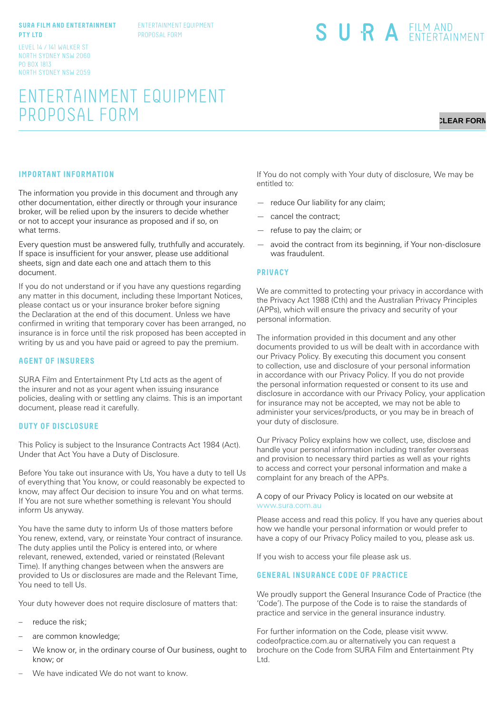#### **SURA FILM AND ENTERTAINMENT PTY LTD**

ENTERTAINMENT EQUIPMENT PROPOSAL FORM

#### LEVEL 14 / 141 WALKER ST NORTH SYDNEY NSW 2060 PO BOX 1813 NORTH SYDNEY NSW 2059

# ENTERTAINMENT EQUIPMENT PROPOSAL FORM

# **CLEAR FORM**

# **IMPORTANT INFORMATION**

The information you provide in this document and through any other documentation, either directly or through your insurance broker, will be relied upon by the insurers to decide whether or not to accept your insurance as proposed and if so, on what terms.

Every question must be answered fully, truthfully and accurately. If space is insufficient for your answer, please use additional sheets, sign and date each one and attach them to this document.

If you do not understand or if you have any questions regarding any matter in this document, including these Important Notices, please contact us or your insurance broker before signing the Declaration at the end of this document. Unless we have confirmed in writing that temporary cover has been arranged, no insurance is in force until the risk proposed has been accepted in writing by us and you have paid or agreed to pay the premium.

#### **AGENT OF INSURERS**

SURA Film and Entertainment Pty Ltd acts as the agent of the insurer and not as your agent when issuing insurance policies, dealing with or settling any claims. This is an important document, please read it carefully.

#### **DUTY OF DISCLOSURE**

This Policy is subject to the Insurance Contracts Act 1984 (Act). Under that Act You have a Duty of Disclosure.

Before You take out insurance with Us, You have a duty to tell Us of everything that You know, or could reasonably be expected to know, may affect Our decision to insure You and on what terms. If You are not sure whether something is relevant You should inform Us anyway.

You have the same duty to inform Us of those matters before You renew, extend, vary, or reinstate Your contract of insurance. The duty applies until the Policy is entered into, or where relevant, renewed, extended, varied or reinstated (Relevant Time). If anything changes between when the answers are provided to Us or disclosures are made and the Relevant Time, You need to tell Us.

Your duty however does not require disclosure of matters that:

- reduce the risk;
- are common knowledge;
- We know or, in the ordinary course of Our business, ought to know; or

If You do not comply with Your duty of disclosure, We may be entitled to:

SURA EILM AND

- reduce Our liability for any claim;
- cancel the contract;
- refuse to pay the claim; or
- avoid the contract from its beginning, if Your non-disclosure was fraudulent.

#### **PRIVACY**

We are committed to protecting your privacy in accordance with the Privacy Act 1988 (Cth) and the Australian Privacy Principles (APPs), which will ensure the privacy and security of your personal information.

The information provided in this document and any other documents provided to us will be dealt with in accordance with our Privacy Policy. By executing this document you consent to collection, use and disclosure of your personal information in accordance with our Privacy Policy. If you do not provide the personal information requested or consent to its use and disclosure in accordance with our Privacy Policy, your application for insurance may not be accepted, we may not be able to administer your services/products, or you may be in breach of your duty of disclosure.

Our Privacy Policy explains how we collect, use, disclose and handle your personal information including transfer overseas and provision to necessary third parties as well as your rights to access and correct your personal information and make a complaint for any breach of the APPs.

#### A copy of our Privacy Policy is located on our website at www.sura.com.au

Please access and read this policy. If you have any queries about how we handle your personal information or would prefer to have a copy of our Privacy Policy mailed to you, please ask us.

If you wish to access your file please ask us.

### **GENERAL INSURANCE CODE OF PRACTICE**

We proudly support the General Insurance Code of Practice (the 'Code'). The purpose of the Code is to raise the standards of practice and service in the general insurance industry.

For further information on the Code, please visit www. codeofpractice.com.au or alternatively you can request a brochure on the Code from SURA Film and Entertainment Pty Ltd.

We have indicated We do not want to know.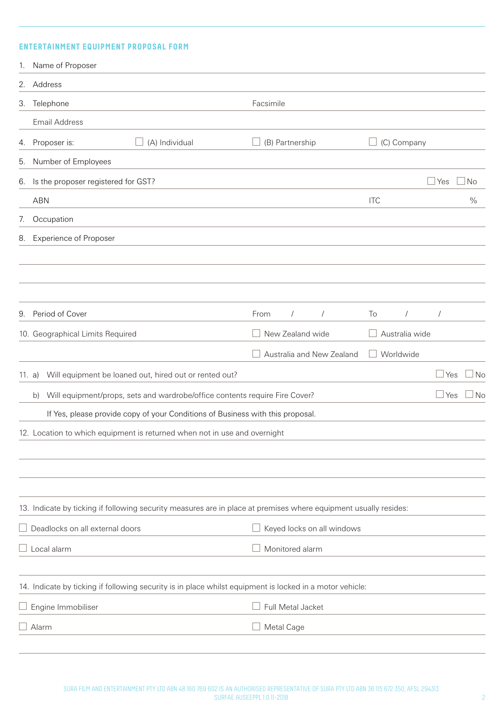# **ENTERTAINMENT EQUIPMENT PROPOSAL FORM**

| 1.     | Name of Proposer                                                                                                 |                            |  |                    |                |            |               |
|--------|------------------------------------------------------------------------------------------------------------------|----------------------------|--|--------------------|----------------|------------|---------------|
|        | 2. Address                                                                                                       |                            |  |                    |                |            |               |
| 3.     | Telephone                                                                                                        | Facsimile                  |  |                    |                |            |               |
|        | <b>Email Address</b>                                                                                             |                            |  |                    |                |            |               |
| 4.     | (A) Individual<br>Proposer is:<br>$\Box$                                                                         | (B) Partnership            |  | $\Box$ (C) Company |                |            |               |
| 5.     | Number of Employees                                                                                              |                            |  |                    |                |            |               |
| 6.     | Is the proposer registered for GST?                                                                              |                            |  |                    |                | Yes        | No            |
|        | <b>ABN</b>                                                                                                       |                            |  | <b>ITC</b>         |                |            | $\frac{0}{0}$ |
| 7.     | Occupation                                                                                                       |                            |  |                    |                |            |               |
| 8.     | <b>Experience of Proposer</b>                                                                                    |                            |  |                    |                |            |               |
|        |                                                                                                                  |                            |  |                    |                |            |               |
|        |                                                                                                                  |                            |  |                    |                |            |               |
|        |                                                                                                                  |                            |  |                    |                |            |               |
| 9.     | Period of Cover                                                                                                  | From<br>$\sqrt{2}$         |  | To                 | $\sqrt{2}$     | $\prime$   |               |
|        | 10. Geographical Limits Required                                                                                 | New Zealand wide           |  |                    | Australia wide |            |               |
|        |                                                                                                                  | Australia and New Zealand  |  |                    | Worldwide      |            |               |
| 11. a) | Will equipment be loaned out, hired out or rented out?                                                           |                            |  |                    |                | $\Box$ Yes | ⊿ No          |
|        | Will equipment/props, sets and wardrobe/office contents require Fire Cover?<br>b)                                |                            |  |                    |                | $\Box$ Yes | ⊿No           |
|        | If Yes, please provide copy of your Conditions of Business with this proposal.                                   |                            |  |                    |                |            |               |
|        | 12. Location to which equipment is returned when not in use and overnight                                        |                            |  |                    |                |            |               |
|        |                                                                                                                  |                            |  |                    |                |            |               |
|        |                                                                                                                  |                            |  |                    |                |            |               |
|        |                                                                                                                  |                            |  |                    |                |            |               |
|        | 13. Indicate by ticking if following security measures are in place at premises where equipment usually resides: |                            |  |                    |                |            |               |
|        | Deadlocks on all external doors                                                                                  | Keyed locks on all windows |  |                    |                |            |               |
|        | $\perp$ Local alarm                                                                                              | Monitored alarm            |  |                    |                |            |               |
|        |                                                                                                                  |                            |  |                    |                |            |               |
|        | 14. Indicate by ticking if following security is in place whilst equipment is locked in a motor vehicle:         |                            |  |                    |                |            |               |
|        | $\Box$ Engine Immobiliser                                                                                        | Full Metal Jacket          |  |                    |                |            |               |
|        | Alarm                                                                                                            | Metal Cage                 |  |                    |                |            |               |
|        |                                                                                                                  |                            |  |                    |                |            |               |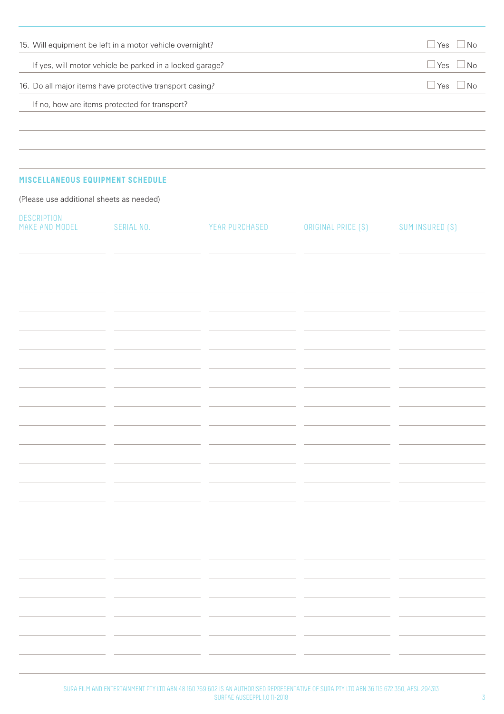| 15. Will equipment be left in a motor vehicle overnight? | $\overline{\text{No}}$<br>Yes      |
|----------------------------------------------------------|------------------------------------|
| If yes, will motor vehicle be parked in a locked garage? | Yes<br>⊟ No                        |
| 16. Do all major items have protective transport casing? | $\overline{\phantom{a}}$ No<br>Yes |
| If no, how are items protected for transport?            |                                    |
|                                                          |                                    |

# **MISCELLANEOUS EQUIPMENT SCHEDULE**

(Please use additional sheets as needed)

| DESCRIPTION<br>MAKE AND MODEL | SERIAL NO. | YEAR PURCHASED                                             | ORIGINAL PRICE (\$) | SUM INSURED (\$)                                                                |
|-------------------------------|------------|------------------------------------------------------------|---------------------|---------------------------------------------------------------------------------|
|                               |            |                                                            |                     |                                                                                 |
|                               |            |                                                            |                     |                                                                                 |
|                               |            |                                                            |                     |                                                                                 |
|                               |            |                                                            |                     |                                                                                 |
|                               |            |                                                            |                     |                                                                                 |
|                               |            |                                                            |                     |                                                                                 |
|                               |            |                                                            |                     |                                                                                 |
|                               |            |                                                            |                     |                                                                                 |
|                               |            |                                                            |                     |                                                                                 |
|                               |            |                                                            |                     |                                                                                 |
|                               |            |                                                            |                     |                                                                                 |
|                               |            | <u> 2000 - Jan Sarah Barat, Amerikaan parte (h. 1982).</u> |                     | <b>State State</b>                                                              |
|                               |            |                                                            |                     | the contract of the contract of the contract of the contract of the contract of |
|                               | $ -$       | $ -$                                                       | $ -$                | $ -$<br>$ -$                                                                    |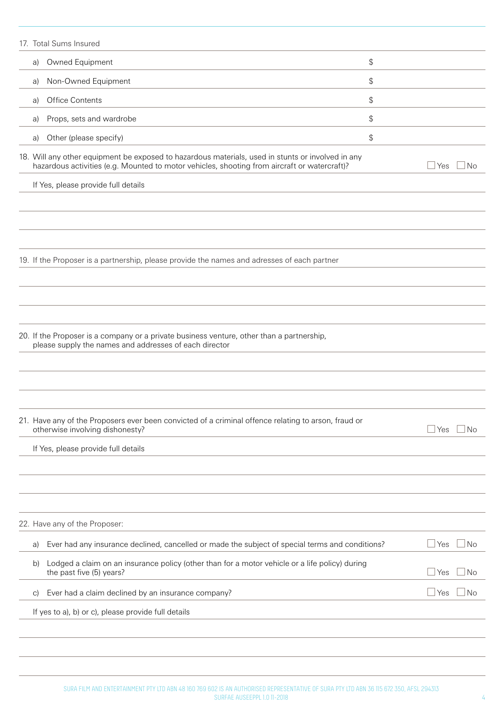| 17. Total Sums Insured                                                                                                                                                                            |                                                                                                 |                            |
|---------------------------------------------------------------------------------------------------------------------------------------------------------------------------------------------------|-------------------------------------------------------------------------------------------------|----------------------------|
| Owned Equipment<br>a)                                                                                                                                                                             | \$                                                                                              |                            |
| Non-Owned Equipment<br>a)                                                                                                                                                                         | \$                                                                                              |                            |
| Office Contents<br>a)                                                                                                                                                                             | \$                                                                                              |                            |
| Props, sets and wardrobe<br>a)                                                                                                                                                                    | $\frac{1}{2}$                                                                                   |                            |
| Other (please specify)<br>a)                                                                                                                                                                      | \$                                                                                              |                            |
| 18. Will any other equipment be exposed to hazardous materials, used in stunts or involved in any<br>hazardous activities (e.g. Mounted to motor vehicles, shooting from aircraft or watercraft)? |                                                                                                 | Yes<br>No                  |
| If Yes, please provide full details                                                                                                                                                               |                                                                                                 |                            |
|                                                                                                                                                                                                   |                                                                                                 |                            |
|                                                                                                                                                                                                   |                                                                                                 |                            |
|                                                                                                                                                                                                   |                                                                                                 |                            |
| 19. If the Proposer is a partnership, please provide the names and adresses of each partner                                                                                                       |                                                                                                 |                            |
|                                                                                                                                                                                                   |                                                                                                 |                            |
|                                                                                                                                                                                                   |                                                                                                 |                            |
|                                                                                                                                                                                                   |                                                                                                 |                            |
| 20. If the Proposer is a company or a private business venture, other than a partnership,<br>please supply the names and addresses of each director                                               |                                                                                                 |                            |
|                                                                                                                                                                                                   |                                                                                                 |                            |
|                                                                                                                                                                                                   |                                                                                                 |                            |
|                                                                                                                                                                                                   |                                                                                                 |                            |
| 21. Have any of the Proposers ever been convicted of a criminal offence relating to arson, fraud or<br>otherwise involving dishonesty?                                                            |                                                                                                 | $\Box$ Yes<br>$\Box$ No    |
| If Yes, please provide full details                                                                                                                                                               |                                                                                                 |                            |
|                                                                                                                                                                                                   |                                                                                                 |                            |
|                                                                                                                                                                                                   |                                                                                                 |                            |
|                                                                                                                                                                                                   |                                                                                                 |                            |
| 22. Have any of the Proposer:                                                                                                                                                                     |                                                                                                 |                            |
| a)                                                                                                                                                                                                | Ever had any insurance declined, cancelled or made the subject of special terms and conditions? | $\Box$ Yes<br>$\Box$ No    |
| b)<br>the past five (5) years?                                                                                                                                                                    | Lodged a claim on an insurance policy (other than for a motor vehicle or a life policy) during  | No<br>⊥Yes                 |
| Ever had a claim declined by an insurance company?<br>C)                                                                                                                                          |                                                                                                 | $\mathsf{\perp}$ Yes<br>No |
| If yes to a), b) or c), please provide full details                                                                                                                                               |                                                                                                 |                            |
|                                                                                                                                                                                                   |                                                                                                 |                            |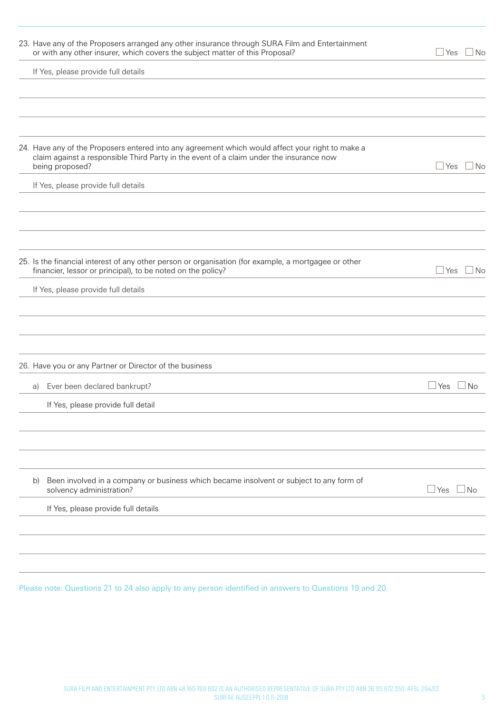| 23. Have any of the Proposers arranged any other insurance through SURA Film and Entertainment<br>or with any other insurer, which covers the subject matter of this Proposal?                                 | $\Box$ Yes $\Box$ No      |
|----------------------------------------------------------------------------------------------------------------------------------------------------------------------------------------------------------------|---------------------------|
| If Yes, please provide full details                                                                                                                                                                            |                           |
|                                                                                                                                                                                                                |                           |
| 24. Have any of the Proposers entered into any agreement which would affect your right to make a<br>claim against a responsible Third Party in the event of a claim under the insurance now<br>being proposed? | $\Box$ Yes<br>l No        |
| If Yes, please provide full details                                                                                                                                                                            |                           |
| 25. Is the financial interest of any other person or organisation (for example, a mortgagee or other                                                                                                           | $\Box$ Yes $\Box$         |
| financier, lessor or principal), to be noted on the policy?<br>If Yes, please provide full details                                                                                                             | ⊿ No                      |
| 26. Have you or any Partner or Director of the business                                                                                                                                                        |                           |
| Ever been declared bankrupt?<br>a)                                                                                                                                                                             | $\sqcup$ Yes<br>$\Box$ No |
| If Yes, please provide full detail                                                                                                                                                                             |                           |
| Been involved in a company or business which became insolvent or subject to any form of<br>b)<br>solvency administration?                                                                                      | ⊿Yes L<br>$\Box$ No       |
| If Yes, please provide full details                                                                                                                                                                            |                           |
|                                                                                                                                                                                                                |                           |
|                                                                                                                                                                                                                |                           |

Please note: Questions 21 to 24 also apply to any person identified in answers to Questions 19 and 20.